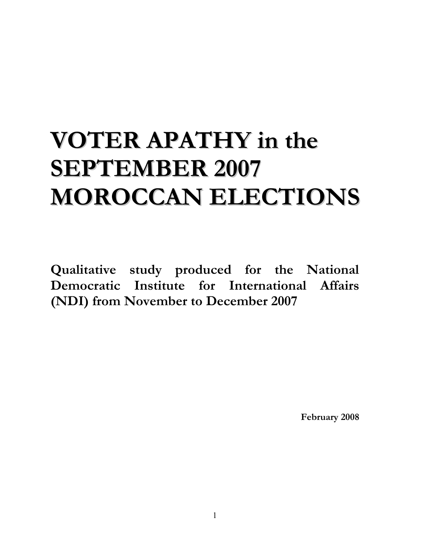# **VOTER APATHY in the SEPTEMBER 2007 MOROCCAN ELECTIONS**

**Qualitative study produced for the National Democratic Institute for International Affairs (NDI) from November to December 2007** 

**February 2008**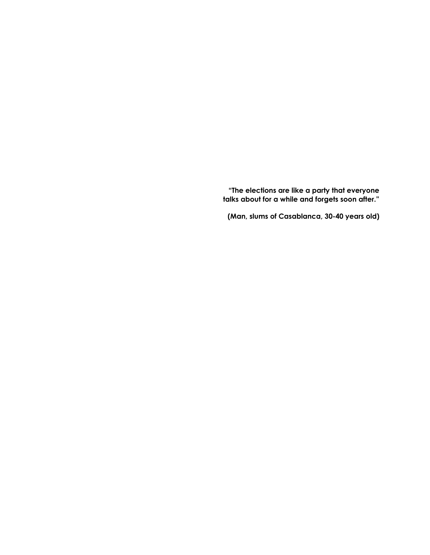**"The elections are like a party that everyone talks about for a while and forgets soon after."** 

**(Man, slums of Casablanca, 30-40 years old)**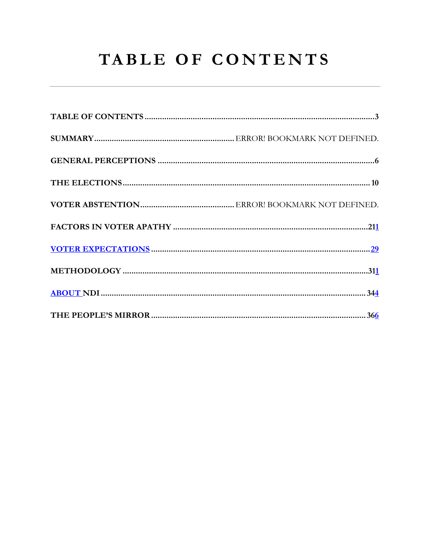## <span id="page-2-0"></span>TABLE OF CONTENTS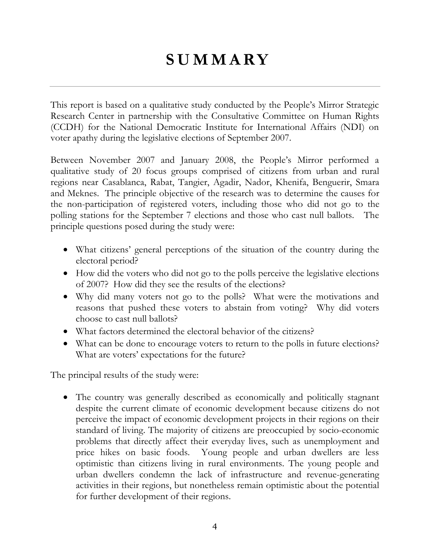### **S U M M A R Y**

This report is based on a qualitative study conducted by the People's Mirror Strategic Research Center in partnership with the Consultative Committee on Human Rights (CCDH) for the National Democratic Institute for International Affairs (NDI) on voter apathy during the legislative elections of September 2007.

Between November 2007 and January 2008, the People's Mirror performed a qualitative study of 20 focus groups comprised of citizens from urban and rural regions near Casablanca, Rabat, Tangier, Agadir, Nador, Khenifa, Benguerir, Smara and Meknes. The principle objective of the research was to determine the causes for the non-participation of registered voters, including those who did not go to the polling stations for the September 7 elections and those who cast null ballots. The principle questions posed during the study were:

- What citizens' general perceptions of the situation of the country during the electoral period?
- ! How did the voters who did not go to the polls perceive the legislative elections of 2007? How did they see the results of the elections?
- Why did many voters not go to the polls? What were the motivations and reasons that pushed these voters to abstain from voting? Why did voters choose to cast null ballots?
- ! What factors determined the electoral behavior of the citizens?
- What can be done to encourage voters to return to the polls in future elections? What are voters' expectations for the future?

The principal results of the study were:

• The country was generally described as economically and politically stagnant despite the current climate of economic development because citizens do not perceive the impact of economic development projects in their regions on their standard of living. The majority of citizens are preoccupied by socio-economic problems that directly affect their everyday lives, such as unemployment and price hikes on basic foods. Young people and urban dwellers are less optimistic than citizens living in rural environments. The young people and urban dwellers condemn the lack of infrastructure and revenue-generating activities in their regions, but nonetheless remain optimistic about the potential for further development of their regions.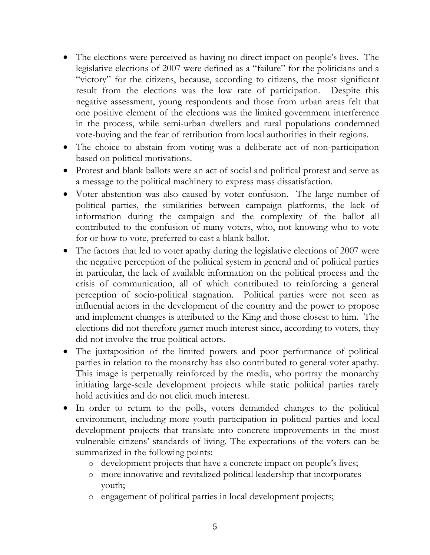- The elections were perceived as having no direct impact on people's lives. The legislative elections of 2007 were defined as a "failure" for the politicians and a "victory" for the citizens, because, according to citizens, the most significant result from the elections was the low rate of participation. Despite this negative assessment, young respondents and those from urban areas felt that one positive element of the elections was the limited government interference in the process, while semi-urban dwellers and rural populations condemned vote-buying and the fear of retribution from local authorities in their regions.
- The choice to abstain from voting was a deliberate act of non-participation based on political motivations.
- ! Protest and blank ballots were an act of social and political protest and serve as a message to the political machinery to express mass dissatisfaction.
- Voter abstention was also caused by voter confusion. The large number of political parties, the similarities between campaign platforms, the lack of information during the campaign and the complexity of the ballot all contributed to the confusion of many voters, who, not knowing who to vote for or how to vote, preferred to cast a blank ballot.
- The factors that led to voter apathy during the legislative elections of 2007 were the negative perception of the political system in general and of political parties in particular, the lack of available information on the political process and the crisis of communication, all of which contributed to reinforcing a general perception of socio-political stagnation. Political parties were not seen as influential actors in the development of the country and the power to propose and implement changes is attributed to the King and those closest to him. The elections did not therefore garner much interest since, according to voters, they did not involve the true political actors.
- The juxtaposition of the limited powers and poor performance of political parties in relation to the monarchy has also contributed to general voter apathy. This image is perpetually reinforced by the media, who portray the monarchy initiating large-scale development projects while static political parties rarely hold activities and do not elicit much interest.
- In order to return to the polls, voters demanded changes to the political environment, including more youth participation in political parties and local development projects that translate into concrete improvements in the most vulnerable citizens' standards of living. The expectations of the voters can be summarized in the following points:
	- o development projects that have a concrete impact on people's lives;
	- o more innovative and revitalized political leadership that incorporates youth;
	- o engagement of political parties in local development projects;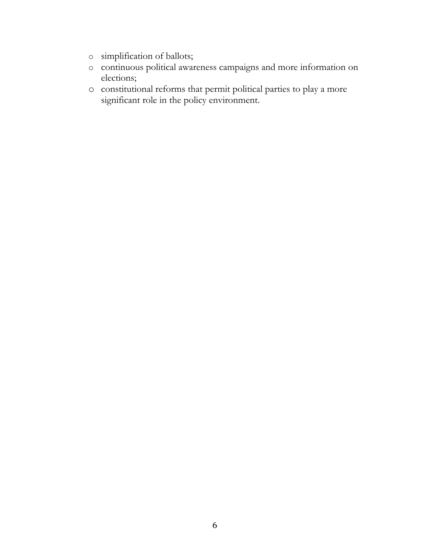- <span id="page-5-0"></span>o simplification of ballots;
- o continuous political awareness campaigns and more information on elections;
- o constitutional reforms that permit political parties to play a more significant role in the policy environment.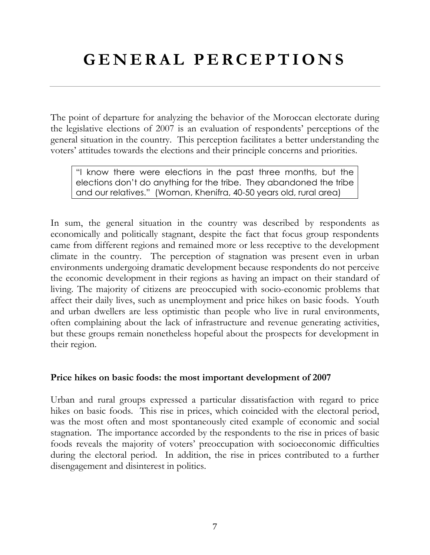The point of departure for analyzing the behavior of the Moroccan electorate during the legislative elections of 2007 is an evaluation of respondents' perceptions of the general situation in the country. This perception facilitates a better understanding the voters' attitudes towards the elections and their principle concerns and priorities.

"I know there were elections in the past three months, but the elections don't do anything for the tribe. They abandoned the tribe and our relatives." (Woman, Khenifra, 40-50 years old, rural area)

In sum, the general situation in the country was described by respondents as economically and politically stagnant, despite the fact that focus group respondents came from different regions and remained more or less receptive to the development climate in the country. The perception of stagnation was present even in urban environments undergoing dramatic development because respondents do not perceive the economic development in their regions as having an impact on their standard of living. The majority of citizens are preoccupied with socio-economic problems that affect their daily lives, such as unemployment and price hikes on basic foods. Youth and urban dwellers are less optimistic than people who live in rural environments, often complaining about the lack of infrastructure and revenue generating activities, but these groups remain nonetheless hopeful about the prospects for development in their region.

#### **Price hikes on basic foods: the most important development of 2007**

Urban and rural groups expressed a particular dissatisfaction with regard to price hikes on basic foods. This rise in prices, which coincided with the electoral period, was the most often and most spontaneously cited example of economic and social stagnation. The importance accorded by the respondents to the rise in prices of basic foods reveals the majority of voters' preoccupation with socioeconomic difficulties during the electoral period. In addition, the rise in prices contributed to a further disengagement and disinterest in politics.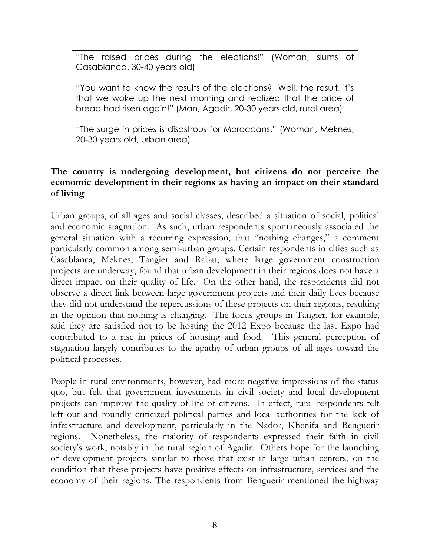"The raised prices during the elections!" (Woman, slums of Casablanca, 30-40 years old)

"You want to know the results of the elections? Well, the result, it's that we woke up the next morning and realized that the price of bread had risen again!" (Man, Agadir, 20-30 years old, rural area)

"The surge in prices is disastrous for Moroccans." (Woman, Meknes, 20-30 years old, urban area)

#### **The country is undergoing development, but citizens do not perceive the economic development in their regions as having an impact on their standard of living**

Urban groups, of all ages and social classes, described a situation of social, political and economic stagnation. As such, urban respondents spontaneously associated the general situation with a recurring expression, that "nothing changes," a comment particularly common among semi-urban groups. Certain respondents in cities such as Casablanca, Meknes, Tangier and Rabat, where large government construction projects are underway, found that urban development in their regions does not have a direct impact on their quality of life. On the other hand, the respondents did not observe a direct link between large government projects and their daily lives because they did not understand the repercussions of these projects on their regions, resulting in the opinion that nothing is changing. The focus groups in Tangier, for example, said they are satisfied not to be hosting the 2012 Expo because the last Expo had contributed to a rise in prices of housing and food. This general perception of stagnation largely contributes to the apathy of urban groups of all ages toward the political processes.

People in rural environments, however, had more negative impressions of the status quo, but felt that government investments in civil society and local development projects can improve the quality of life of citizens. In effect, rural respondents felt left out and roundly criticized political parties and local authorities for the lack of infrastructure and development, particularly in the Nador, Khenifa and Benguerir regions. Nonetheless, the majority of respondents expressed their faith in civil society's work, notably in the rural region of Agadir. Others hope for the launching of development projects similar to those that exist in large urban centers, on the condition that these projects have positive effects on infrastructure, services and the economy of their regions. The respondents from Benguerir mentioned the highway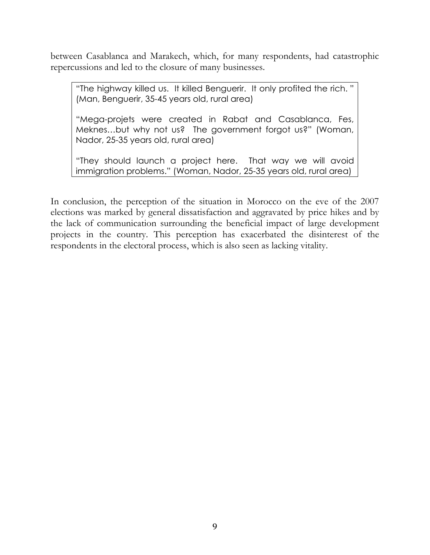between Casablanca and Marakech, which, for many respondents, had catastrophic repercussions and led to the closure of many businesses.

"The highway killed us. It killed Benguerir. It only profited the rich. " (Man, Benguerir, 35-45 years old, rural area)

"Mega-projets were created in Rabat and Casablanca, Fes, Meknes…but why not us? The government forgot us?" (Woman, Nador, 25-35 years old, rural area)

"They should launch a project here. That way we will avoid immigration problems." (Woman, Nador, 25-35 years old, rural area)

In conclusion, the perception of the situation in Morocco on the eve of the 2007 elections was marked by general dissatisfaction and aggravated by price hikes and by the lack of communication surrounding the beneficial impact of large development projects in the country. This perception has exacerbated the disinterest of the respondents in the electoral process, which is also seen as lacking vitality.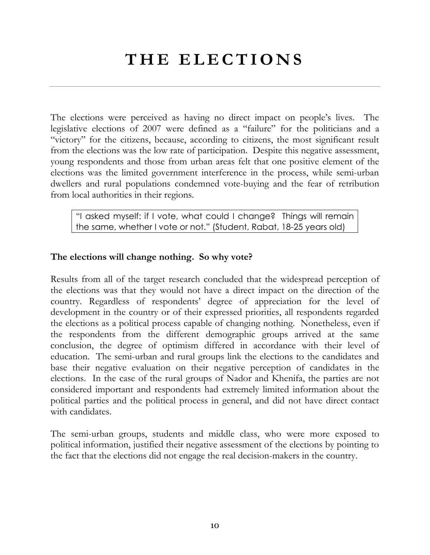<span id="page-9-0"></span>The elections were perceived as having no direct impact on people's lives. The legislative elections of 2007 were defined as a "failure" for the politicians and a "victory" for the citizens, because, according to citizens, the most significant result from the elections was the low rate of participation. Despite this negative assessment, young respondents and those from urban areas felt that one positive element of the elections was the limited government interference in the process, while semi-urban dwellers and rural populations condemned vote-buying and the fear of retribution from local authorities in their regions.

"I asked myself: if I vote, what could I change? Things will remain the same, whether I vote or not." (Student, Rabat, 18-25 years old)

#### **The elections will change nothing. So why vote?**

Results from all of the target research concluded that the widespread perception of the elections was that they would not have a direct impact on the direction of the country. Regardless of respondents' degree of appreciation for the level of development in the country or of their expressed priorities, all respondents regarded the elections as a political process capable of changing nothing. Nonetheless, even if the respondents from the different demographic groups arrived at the same conclusion, the degree of optimism differed in accordance with their level of education. The semi-urban and rural groups link the elections to the candidates and base their negative evaluation on their negative perception of candidates in the elections. In the case of the rural groups of Nador and Khenifa, the parties are not considered important and respondents had extremely limited information about the political parties and the political process in general, and did not have direct contact with candidates.

The semi-urban groups, students and middle class, who were more exposed to political information, justified their negative assessment of the elections by pointing to the fact that the elections did not engage the real decision-makers in the country.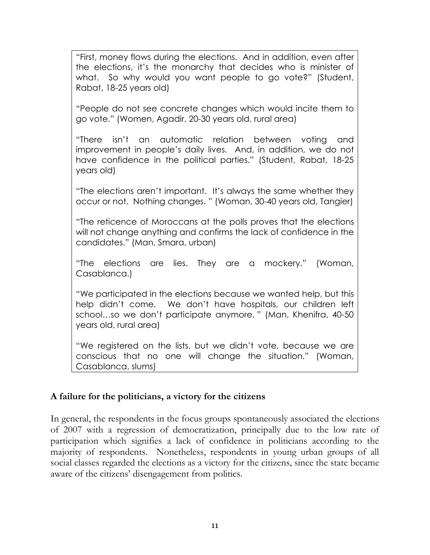"First, money flows during the elections. And in addition, even after the elections, it's the monarchy that decides who is minister of what. So why would you want people to go vote?" (Student, Rabat, 18-25 years old)

"People do not see concrete changes which would incite them to go vote." (Women, Agadir, 20-30 years old, rural area)

"There isn't an automatic relation between voting and improvement in people's daily lives. And, in addition, we do not have confidence in the political parties." (Student, Rabat, 18-25 years old)

"The elections aren't important. It's always the same whether they occur or not. Nothing changes. " (Woman, 30-40 years old, Tangier)

"The reticence of Moroccans at the polls proves that the elections will not change anything and confirms the lack of confidence in the candidates." (Man, Smara, urban)

"The elections are lies. They are a mockery." (Woman, Casablanca.)

"We participated in the elections because we wanted help, but this help didn't come. We don't have hospitals, our children left school…so we don't participate anymore. " (Man, Khenifra, 40-50 years old, rural area)

"We registered on the lists, but we didn't vote, because we are conscious that no one will change the situation." (Woman, Casablanca, slums)

#### **A failure for the politicians, a victory for the citizens**

In general, the respondents in the focus groups spontaneously associated the elections of 2007 with a regression of democratization, principally due to the low rate of participation which signifies a lack of confidence in politicians according to the majority of respondents. Nonetheless, respondents in young urban groups of all social classes regarded the elections as a victory for the citizens, since the state became aware of the citizens' disengagement from politics.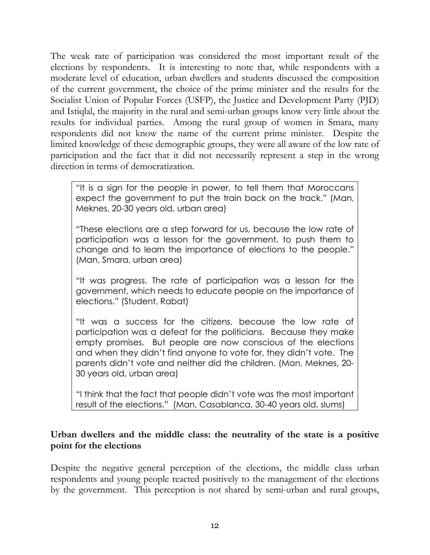The weak rate of participation was considered the most important result of the elections by respondents. It is interesting to note that, while respondents with a moderate level of education, urban dwellers and students discussed the composition of the current government, the choice of the prime minister and the results for the Socialist Union of Popular Forces (USFP), the Justice and Development Party (PJD) and Istiqlal, the majority in the rural and semi-urban groups know very little about the results for individual parties. Among the rural group of women in Smara, many respondents did not know the name of the current prime minister. Despite the limited knowledge of these demographic groups, they were all aware of the low rate of participation and the fact that it did not necessarily represent a step in the wrong direction in terms of democratization.

"It is a sign for the people in power, to tell them that Moroccans expect the government to put the train back on the track." (Man, Meknes, 20-30 years old, urban area)

"These elections are a step forward for us, because the low rate of participation was a lesson for the government, to push them to change and to learn the importance of elections to the people." (Man, Smara, urban area)

"It was progress. The rate of participation was a lesson for the government, which needs to educate people on the importance of elections." (Student, Rabat)

"It was a success for the citizens, because the low rate of participation was a defeat for the politicians. Because they make empty promises. But people are now conscious of the elections and when they didn't find anyone to vote for, they didn't vote. The parents didn't vote and neither did the children. (Man, Meknes, 20- 30 years old, urban area)

"I think that the fact that people didn't vote was the most important result of the elections." (Man, Casablanca, 30-40 years old, slums)

#### **Urban dwellers and the middle class: the neutrality of the state is a positive point for the elections**

Despite the negative general perception of the elections, the middle class urban respondents and young people reacted positively to the management of the elections by the government. This perception is not shared by semi-urban and rural groups,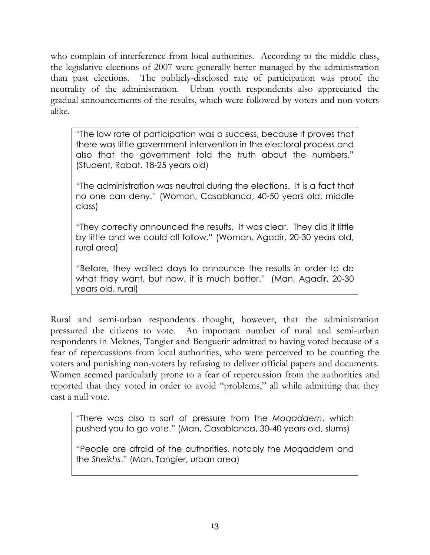who complain of interference from local authorities. According to the middle class, the legislative elections of 2007 were generally better managed by the administration than past elections. The publicly-disclosed rate of participation was proof the neutrality of the administration. Urban youth respondents also appreciated the gradual announcements of the results, which were followed by voters and non-voters alike.

"The low rate of participation was a success, because it proves that there was little government intervention in the electoral process and also that the government told the truth about the numbers." (Student, Rabat, 18-25 years old)

"The administration was neutral during the elections. It is a fact that no one can deny." (Woman, Casablanca, 40-50 years old, middle class)

"They correctly announced the results. It was clear. They did it little by little and we could all follow." (Woman, Agadir, 20-30 years old, rural area)

"Before, they waited days to announce the results in order to do what they want, but now, it is much better." (Man, Agadir, 20-30 years old, rural)

Rural and semi-urban respondents thought, however, that the administration pressured the citizens to vote. An important number of rural and semi-urban respondents in Meknes, Tangier and Benguerir admitted to having voted because of a fear of repercussions from local authorities, who were perceived to be counting the voters and punishing non-voters by refusing to deliver official papers and documents. Women seemed particularly prone to a fear of repercussion from the authorities and reported that they voted in order to avoid "problems," all while admitting that they cast a null vote.

"There was also a sort of pressure from the *Moqaddem*, which pushed you to go vote." (Man, Casablanca, 30-40 years old, slums)

"People are afraid of the authorities, notably the *Moqaddem* and the *Sheikhs*." (Man, Tangier, urban area)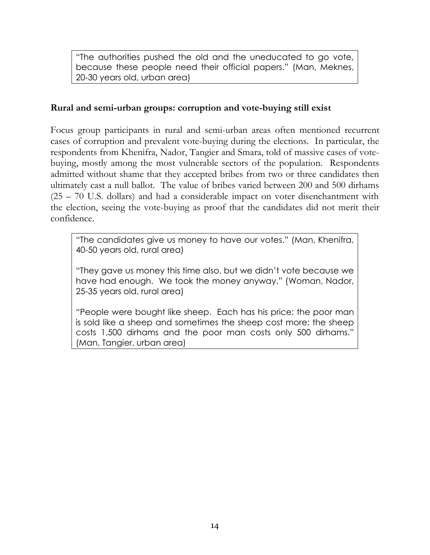"The authorities pushed the old and the uneducated to go vote, because these people need their official papers." (Man, Meknes, 20-30 years old, urban area)

#### **Rural and semi-urban groups: corruption and vote-buying still exist**

Focus group participants in rural and semi-urban areas often mentioned recurrent cases of corruption and prevalent vote-buying during the elections. In particular, the respondents from Khenifra, Nador, Tangier and Smara, told of massive cases of votebuying, mostly among the most vulnerable sectors of the population. Respondents admitted without shame that they accepted bribes from two or three candidates then ultimately cast a null ballot. The value of bribes varied between 200 and 500 dirhams (25 – 70 U.S. dollars) and had a considerable impact on voter disenchantment with the election, seeing the vote-buying as proof that the candidates did not merit their confidence.

"The candidates give us money to have our votes." (Man, Khenifra, 40-50 years old, rural area)

"They gave us money this time also, but we didn't vote because we have had enough. We took the money anyway." (Woman, Nador, 25-35 years old, rural area)

"People were bought like sheep. Each has his price: the poor man is sold like a sheep and sometimes the sheep cost more: the sheep costs 1,500 dirhams and the poor man costs only 500 dirhams." (Man, Tangier, urban area)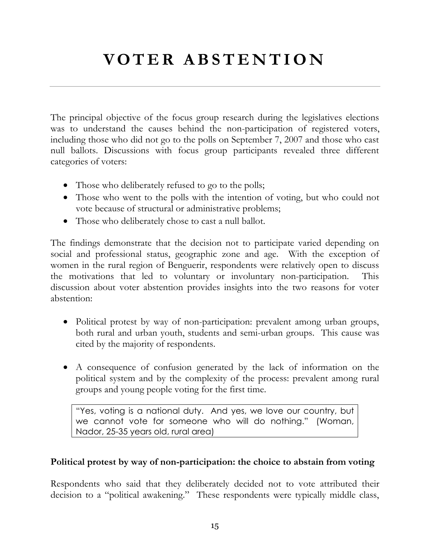## **V O T E R A B S T E N T I O N**

The principal objective of the focus group research during the legislatives elections was to understand the causes behind the non-participation of registered voters, including those who did not go to the polls on September 7, 2007 and those who cast null ballots. Discussions with focus group participants revealed three different categories of voters:

- Those who deliberately refused to go to the polls;
- Those who went to the polls with the intention of voting, but who could not vote because of structural or administrative problems;
- Those who deliberately chose to cast a null ballot.

The findings demonstrate that the decision not to participate varied depending on social and professional status, geographic zone and age. With the exception of women in the rural region of Benguerir, respondents were relatively open to discuss the motivations that led to voluntary or involuntary non-participation. This discussion about voter abstention provides insights into the two reasons for voter abstention:

- ! Political protest by way of non-participation: prevalent among urban groups, both rural and urban youth, students and semi-urban groups. This cause was cited by the majority of respondents.
- A consequence of confusion generated by the lack of information on the political system and by the complexity of the process: prevalent among rural groups and young people voting for the first time.

"Yes, voting is a national duty. And yes, we love our country, but we cannot vote for someone who will do nothing." (Woman, Nador, 25-35 years old, rural area)

#### **Political protest by way of non-participation: the choice to abstain from voting**

Respondents who said that they deliberately decided not to vote attributed their decision to a "political awakening." These respondents were typically middle class,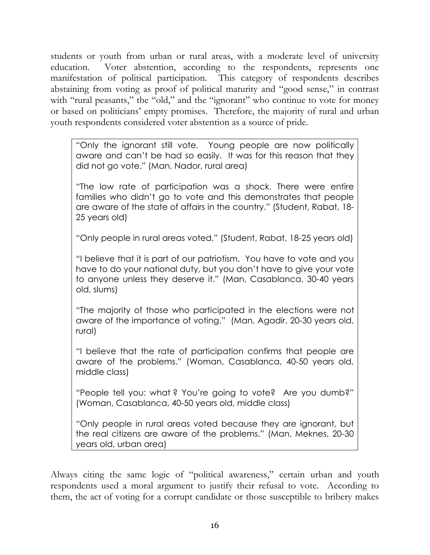students or youth from urban or rural areas, with a moderate level of university education. Voter abstention, according to the respondents, represents one manifestation of political participation. This category of respondents describes abstaining from voting as proof of political maturity and "good sense," in contrast with "rural peasants," the "old," and the "ignorant" who continue to vote for money or based on politicians' empty promises. Therefore, the majority of rural and urban youth respondents considered voter abstention as a source of pride.

"Only the ignorant still vote. Young people are now politically aware and can't be had so easily. It was for this reason that they did not go vote." (Man, Nador, rural area)

"The low rate of participation was a shock. There were entire families who didn't go to vote and this demonstrates that people are aware of the state of affairs in the country." (Student, Rabat, 18- 25 years old)

"Only people in rural areas voted." (Student, Rabat, 18-25 years old)

"I believe that it is part of our patriotism. You have to vote and you have to do your national duty, but you don't have to give your vote to anyone unless they deserve it." (Man, Casablanca, 30-40 years old, slums)

"The majority of those who participated in the elections were not aware of the importance of voting." (Man, Agadir, 20-30 years old, rural)

"I believe that the rate of participation confirms that people are aware of the problems." (Woman, Casablanca, 40-50 years old, middle class)

"People tell you: what ? You're going to vote? Are you dumb?" (Woman, Casablanca, 40-50 years old, middle class)

"Only people in rural areas voted because they are ignorant, but the real citizens are aware of the problems." (Man, Meknes, 20-30 years old, urban area)

Always citing the same logic of "political awareness," certain urban and youth respondents used a moral argument to justify their refusal to vote. According to them, the act of voting for a corrupt candidate or those susceptible to bribery makes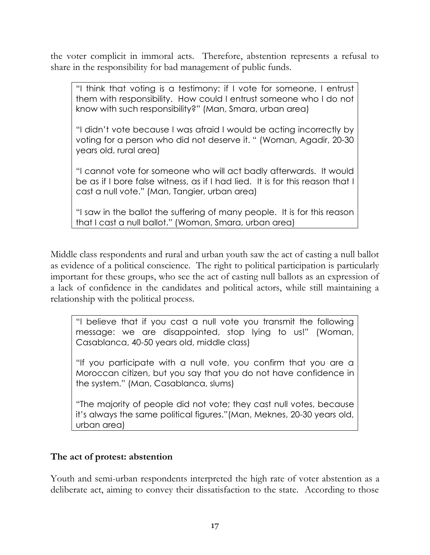the voter complicit in immoral acts. Therefore, abstention represents a refusal to share in the responsibility for bad management of public funds.

"I think that voting is a testimony: if I vote for someone, I entrust them with responsibility. How could I entrust someone who I do not know with such responsibility?" (Man, Smara, urban area)

"I didn't vote because I was afraid I would be acting incorrectly by voting for a person who did not deserve it. " (Woman, Agadir, 20-30 years old, rural area)

"I cannot vote for someone who will act badly afterwards. It would be as if I bore false witness, as if I had lied. It is for this reason that I cast a null vote." (Man, Tangier, urban area)

"I saw in the ballot the suffering of many people. It is for this reason that I cast a null ballot." (Woman, Smara, urban area)

Middle class respondents and rural and urban youth saw the act of casting a null ballot as evidence of a political conscience. The right to political participation is particularly important for these groups, who see the act of casting null ballots as an expression of a lack of confidence in the candidates and political actors, while still maintaining a relationship with the political process.

"I believe that if you cast a null vote you transmit the following message: we are disappointed, stop lying to us!" (Woman, Casablanca, 40-50 years old, middle class)

"If you participate with a null vote, you confirm that you are a Moroccan citizen, but you say that you do not have confidence in the system." (Man, Casablanca, slums)

"The majority of people did not vote; they cast null votes, because it's always the same political figures."(Man, Meknes, 20-30 years old, urban area)

#### **The act of protest: abstention**

Youth and semi-urban respondents interpreted the high rate of voter abstention as a deliberate act, aiming to convey their dissatisfaction to the state. According to those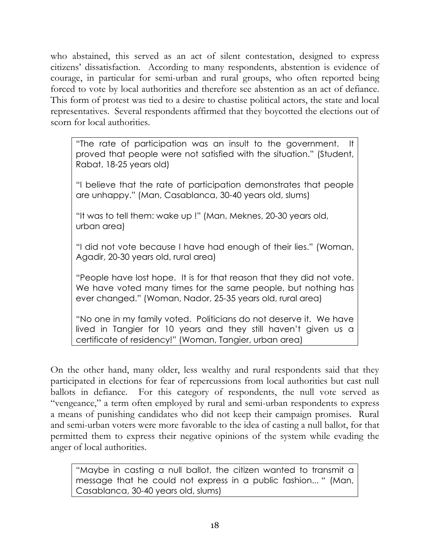who abstained, this served as an act of silent contestation, designed to express citizens' dissatisfaction. According to many respondents, abstention is evidence of courage, in particular for semi-urban and rural groups, who often reported being forced to vote by local authorities and therefore see abstention as an act of defiance. This form of protest was tied to a desire to chastise political actors, the state and local representatives. Several respondents affirmed that they boycotted the elections out of scorn for local authorities.

"The rate of participation was an insult to the government. It proved that people were not satisfied with the situation." (Student, Rabat, 18-25 years old)

"I believe that the rate of participation demonstrates that people are unhappy." (Man, Casablanca, 30-40 years old, slums)

"It was to tell them: wake up !" (Man, Meknes, 20-30 years old, urban area)

"I did not vote because I have had enough of their lies." (Woman, Agadir, 20-30 years old, rural area)

"People have lost hope. It is for that reason that they did not vote. We have voted many times for the same people, but nothing has ever changed." (Woman, Nador, 25-35 years old, rural area)

"No one in my family voted. Politicians do not deserve it. We have lived in Tangier for 10 years and they still haven't given us a certificate of residency!" (Woman, Tangier, urban area)

On the other hand, many older, less wealthy and rural respondents said that they participated in elections for fear of repercussions from local authorities but cast null ballots in defiance. For this category of respondents, the null vote served as "vengeance," a term often employed by rural and semi-urban respondents to express a means of punishing candidates who did not keep their campaign promises. Rural and semi-urban voters were more favorable to the idea of casting a null ballot, for that permitted them to express their negative opinions of the system while evading the anger of local authorities.

"Maybe in casting a null ballot, the citizen wanted to transmit a message that he could not express in a public fashion... " (Man, Casablanca, 30-40 years old, slums)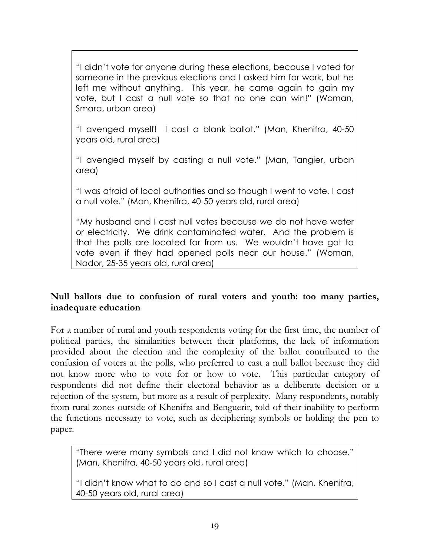"I didn't vote for anyone during these elections, because I voted for someone in the previous elections and I asked him for work, but he left me without anything. This year, he came again to gain my vote, but I cast a null vote so that no one can win!" (Woman, Smara, urban area)

"I avenged myself! I cast a blank ballot." (Man, Khenifra, 40-50 years old, rural area)

"I avenged myself by casting a null vote." (Man, Tangier, urban area)

"I was afraid of local authorities and so though I went to vote, I cast a null vote." (Man, Khenifra, 40-50 years old, rural area)

"My husband and I cast null votes because we do not have water or electricity. We drink contaminated water. And the problem is that the polls are located far from us. We wouldn't have got to vote even if they had opened polls near our house." (Woman, Nador, 25-35 years old, rural area)

#### **Null ballots due to confusion of rural voters and youth: too many parties, inadequate education**

For a number of rural and youth respondents voting for the first time, the number of political parties, the similarities between their platforms, the lack of information provided about the election and the complexity of the ballot contributed to the confusion of voters at the polls, who preferred to cast a null ballot because they did not know more who to vote for or how to vote. This particular category of respondents did not define their electoral behavior as a deliberate decision or a rejection of the system, but more as a result of perplexity. Many respondents, notably from rural zones outside of Khenifra and Benguerir, told of their inability to perform the functions necessary to vote, such as deciphering symbols or holding the pen to paper.

"There were many symbols and I did not know which to choose." (Man, Khenifra, 40-50 years old, rural area)

"I didn't know what to do and so I cast a null vote." (Man, Khenifra, 40-50 years old, rural area)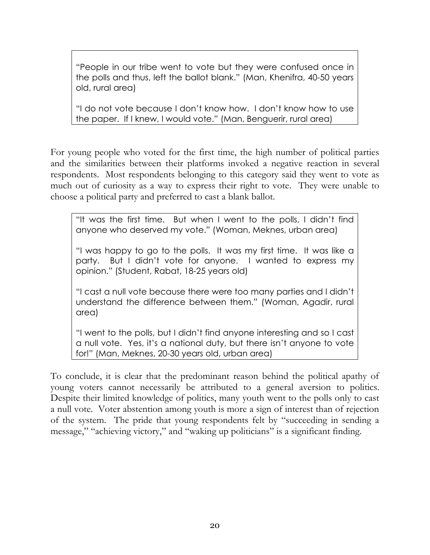"People in our tribe went to vote but they were confused once in the polls and thus, left the ballot blank." (Man, Khenifra, 40-50 years old, rural area)

"I do not vote because I don't know how. I don't know how to use the paper. If I knew, I would vote." (Man, Benguerir, rural area)

For young people who voted for the first time, the high number of political parties and the similarities between their platforms invoked a negative reaction in several respondents. Most respondents belonging to this category said they went to vote as much out of curiosity as a way to express their right to vote. They were unable to choose a political party and preferred to cast a blank ballot.

"It was the first time. But when I went to the polls, I didn't find anyone who deserved my vote." (Woman, Meknes, urban area)

"I was happy to go to the polls. It was my first time. It was like a party. But I didn't vote for anyone. I wanted to express my opinion." (Student, Rabat, 18-25 years old)

"I cast a null vote because there were too many parties and I didn't understand the difference between them." (Woman, Agadir, rural area)

"I went to the polls, but I didn't find anyone interesting and so I cast a null vote. Yes, it's a national duty, but there isn't anyone to vote for!" (Man, Meknes, 20-30 years old, urban area)

To conclude, it is clear that the predominant reason behind the political apathy of young voters cannot necessarily be attributed to a general aversion to politics. Despite their limited knowledge of politics, many youth went to the polls only to cast a null vote. Voter abstention among youth is more a sign of interest than of rejection of the system. The pride that young respondents felt by "succeeding in sending a message," "achieving victory," and "waking up politicians" is a significant finding.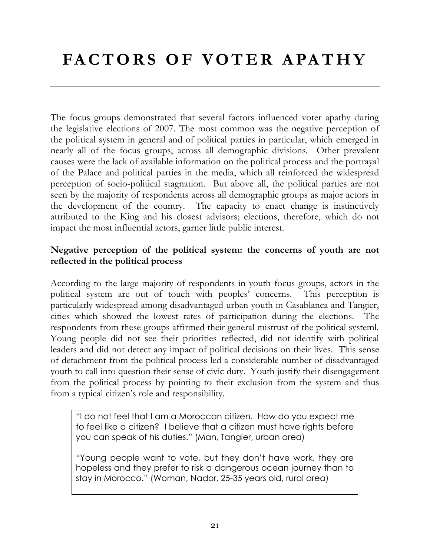<span id="page-20-0"></span>The focus groups demonstrated that several factors influenced voter apathy during the legislative elections of 2007. The most common was the negative perception of the political system in general and of political parties in particular, which emerged in nearly all of the focus groups, across all demographic divisions. Other prevalent causes were the lack of available information on the political process and the portrayal of the Palace and political parties in the media, which all reinforced the widespread perception of socio-political stagnation. But above all, the political parties are not seen by the majority of respondents across all demographic groups as major actors in the development of the country. The capacity to enact change is instinctively attributed to the King and his closest advisors; elections, therefore, which do not impact the most influential actors, garner little public interest.

#### **Negative perception of the political system: the concerns of youth are not reflected in the political process**

According to the large majority of respondents in youth focus groups, actors in the political system are out of touch with peoples' concerns. This perception is particularly widespread among disadvantaged urban youth in Casablanca and Tangier, cities which showed the lowest rates of participation during the elections. The respondents from these groups affirmed their general mistrust of the political systeml. Young people did not see their priorities reflected, did not identify with political leaders and did not detect any impact of political decisions on their lives. This sense of detachment from the political process led a considerable number of disadvantaged youth to call into question their sense of civic duty. Youth justify their disengagement from the political process by pointing to their exclusion from the system and thus from a typical citizen's role and responsibility.

"I do not feel that I am a Moroccan citizen. How do you expect me to feel like a citizen? I believe that a citizen must have rights before you can speak of his duties." (Man, Tangier, urban area)

"Young people want to vote, but they don't have work, they are hopeless and they prefer to risk a dangerous ocean journey than to stay in Morocco." (Woman, Nador, 25-35 years old, rural area)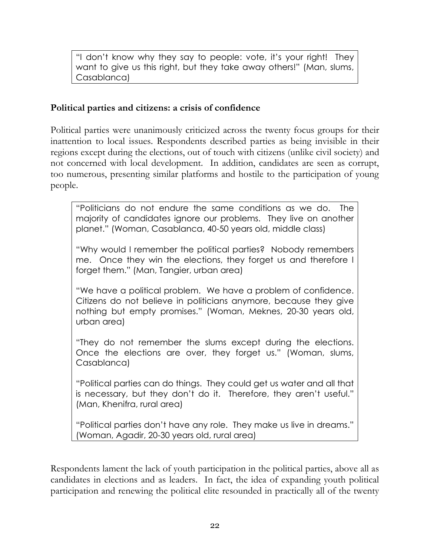"I don't know why they say to people: vote, it's your right! They want to give us this right, but they take away others!" (Man, slums, Casablanca)

#### **Political parties and citizens: a crisis of confidence**

Political parties were unanimously criticized across the twenty focus groups for their inattention to local issues. Respondents described parties as being invisible in their regions except during the elections, out of touch with citizens (unlike civil society) and not concerned with local development. In addition, candidates are seen as corrupt, too numerous, presenting similar platforms and hostile to the participation of young people.

"Politicians do not endure the same conditions as we do. The majority of candidates ignore our problems. They live on another planet." (Woman, Casablanca, 40-50 years old, middle class)

"Why would I remember the political parties? Nobody remembers me. Once they win the elections, they forget us and therefore I forget them." (Man, Tangier, urban area)

"We have a political problem. We have a problem of confidence. Citizens do not believe in politicians anymore, because they give nothing but empty promises." (Woman, Meknes, 20-30 years old, urban area)

"They do not remember the slums except during the elections. Once the elections are over, they forget us." (Woman, slums, Casablanca)

"Political parties can do things. They could get us water and all that is necessary, but they don't do it. Therefore, they aren't useful." (Man, Khenifra, rural area)

"Political parties don't have any role. They make us live in dreams." (Woman, Agadir, 20-30 years old, rural area)

Respondents lament the lack of youth participation in the political parties, above all as candidates in elections and as leaders. In fact, the idea of expanding youth political participation and renewing the political elite resounded in practically all of the twenty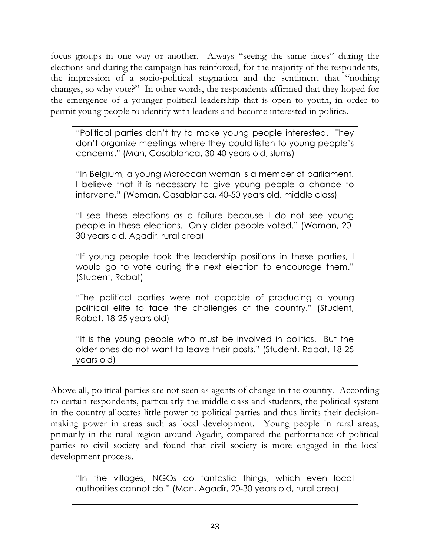focus groups in one way or another. Always "seeing the same faces" during the elections and during the campaign has reinforced, for the majority of the respondents, the impression of a socio-political stagnation and the sentiment that "nothing changes, so why vote?" In other words, the respondents affirmed that they hoped for the emergence of a younger political leadership that is open to youth, in order to permit young people to identify with leaders and become interested in politics.

"Political parties don't try to make young people interested. They don't organize meetings where they could listen to young people's concerns." (Man, Casablanca, 30-40 years old, slums)

"In Belgium, a young Moroccan woman is a member of parliament. I believe that it is necessary to give young people a chance to intervene." (Woman, Casablanca, 40-50 years old, middle class)

"I see these elections as a failure because I do not see young people in these elections. Only older people voted." (Woman, 20- 30 years old, Agadir, rural area)

"If young people took the leadership positions in these parties, I would go to vote during the next election to encourage them." (Student, Rabat)

"The political parties were not capable of producing a young political elite to face the challenges of the country." (Student, Rabat, 18-25 years old)

"It is the young people who must be involved in politics. But the older ones do not want to leave their posts." (Student, Rabat, 18-25 years old)

Above all, political parties are not seen as agents of change in the country. According to certain respondents, particularly the middle class and students, the political system in the country allocates little power to political parties and thus limits their decisionmaking power in areas such as local development. Young people in rural areas, primarily in the rural region around Agadir, compared the performance of political parties to civil society and found that civil society is more engaged in the local development process.

"In the villages, NGOs do fantastic things, which even local authorities cannot do." (Man, Agadir, 20-30 years old, rural area)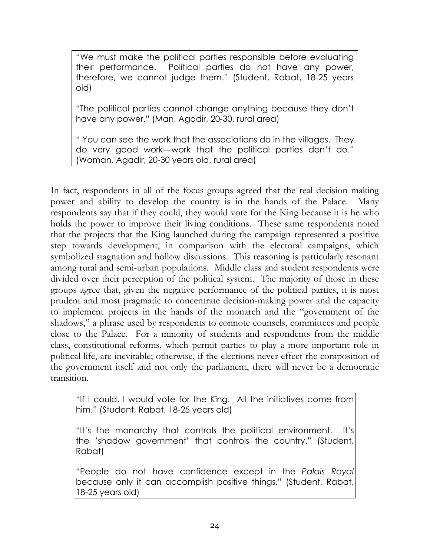"We must make the political parties responsible before evaluating their performance. Political parties do not have any power, therefore, we cannot judge them." (Student, Rabat, 18-25 years old)

"The political parties cannot change anything because they don't have any power." (Man, Agadir, 20-30, rural area)

" You can see the work that the associations do in the villages. They do very good work—work that the political parties don't do." (Woman, Agadir, 20-30 years old, rural area)

In fact, respondents in all of the focus groups agreed that the real decision making power and ability to develop the country is in the hands of the Palace. Many respondents say that if they could, they would vote for the King because it is he who holds the power to improve their living conditions. These same respondents noted that the projects that the King launched during the campaign represented a positive step towards development, in comparison with the electoral campaigns, which symbolized stagnation and hollow discussions. This reasoning is particularly resonant among rural and semi-urban populations. Middle class and student respondents were divided over their perception of the political system. The majority of those in these groups agree that, given the negative performance of the political parties, it is most prudent and most pragmatic to concentrate decision-making power and the capacity to implement projects in the hands of the monarch and the "government of the shadows," a phrase used by respondents to connote counsels, committees and people close to the Palace. For a minority of students and respondents from the middle class, constitutional reforms, which permit parties to play a more important role in political life, are inevitable; otherwise, if the elections never effect the composition of the government itself and not only the parliament, there will never be a democratic transition.

"If I could, I would vote for the King. All the initiatives come from him." (Student, Rabat, 18-25 years old)

"It's the monarchy that controls the political environment. It's the 'shadow government' that controls the country." (Student, Rabat)

"People do not have confidence except in the *Palais Royal* because only it can accomplish positive things." (Student, Rabat, 18-25 years old)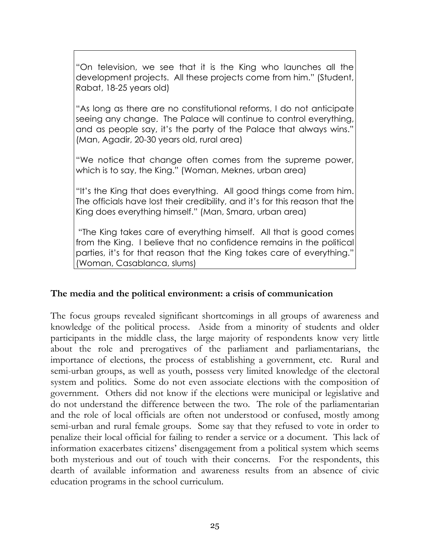"On television, we see that it is the King who launches all the development projects. All these projects come from him." (Student, Rabat, 18-25 years old)

"As long as there are no constitutional reforms, I do not anticipate seeing any change. The Palace will continue to control everything, and as people say, it's the party of the Palace that always wins." (Man, Agadir, 20-30 years old, rural area)

"We notice that change often comes from the supreme power, which is to say, the King." (Woman, Meknes, urban area)

"It's the King that does everything. All good things come from him. The officials have lost their credibility, and it's for this reason that the King does everything himself." (Man, Smara, urban area)

 "The King takes care of everything himself. All that is good comes from the King. I believe that no confidence remains in the political parties, it's for that reason that the King takes care of everything." (Woman, Casablanca, slums)

#### **The media and the political environment: a crisis of communication**

The focus groups revealed significant shortcomings in all groups of awareness and knowledge of the political process. Aside from a minority of students and older participants in the middle class, the large majority of respondents know very little about the role and prerogatives of the parliament and parliamentarians, the importance of elections, the process of establishing a government, etc. Rural and semi-urban groups, as well as youth, possess very limited knowledge of the electoral system and politics. Some do not even associate elections with the composition of government. Others did not know if the elections were municipal or legislative and do not understand the difference between the two. The role of the parliamentarian and the role of local officials are often not understood or confused, mostly among semi-urban and rural female groups. Some say that they refused to vote in order to penalize their local official for failing to render a service or a document. This lack of information exacerbates citizens' disengagement from a political system which seems both mysterious and out of touch with their concerns. For the respondents, this dearth of available information and awareness results from an absence of civic education programs in the school curriculum.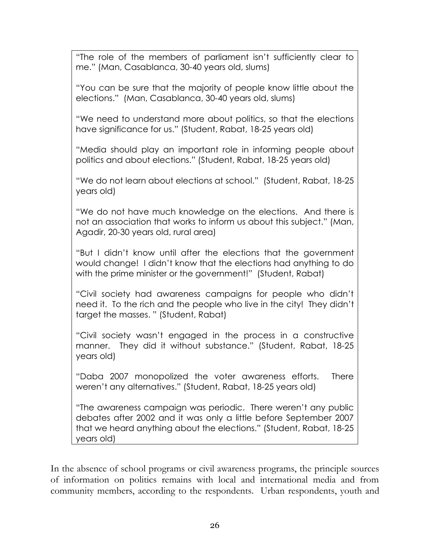"The role of the members of parliament isn't sufficiently clear to me." (Man, Casablanca, 30-40 years old, slums)

"You can be sure that the majority of people know little about the elections." (Man, Casablanca, 30-40 years old, slums)

"We need to understand more about politics, so that the elections have significance for us." (Student, Rabat, 18-25 years old)

"Media should play an important role in informing people about politics and about elections." (Student, Rabat, 18-25 years old)

"We do not learn about elections at school." (Student, Rabat, 18-25 years old)

"We do not have much knowledge on the elections. And there is not an association that works to inform us about this subject." (Man, Agadir, 20-30 years old, rural area)

"But I didn't know until after the elections that the government would change! I didn't know that the elections had anything to do with the prime minister or the government!" (Student, Rabat)

"Civil society had awareness campaigns for people who didn't need it. To the rich and the people who live in the city! They didn't target the masses. " (Student, Rabat)

"Civil society wasn't engaged in the process in a constructive manner. They did it without substance." (Student, Rabat, 18-25 years old)

"Daba 2007 monopolized the voter awareness efforts. There weren't any alternatives." (Student, Rabat, 18-25 years old)

"The awareness campaign was periodic. There weren't any public debates after 2002 and it was only a little before September 2007 that we heard anything about the elections." (Student, Rabat, 18-25 years old)

In the absence of school programs or civil awareness programs, the principle sources of information on politics remains with local and international media and from community members, according to the respondents. Urban respondents, youth and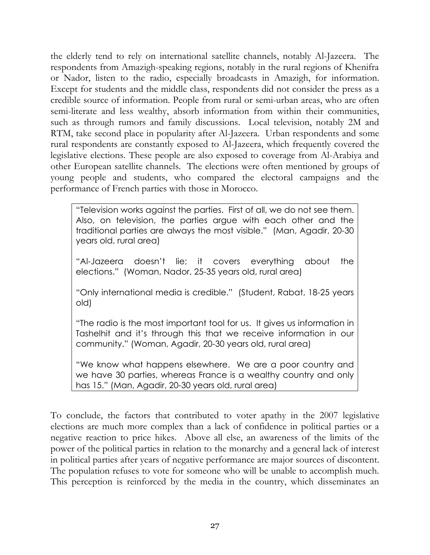the elderly tend to rely on international satellite channels, notably Al-Jazeera. The respondents from Amazigh-speaking regions, notably in the rural regions of Khenifra or Nador, listen to the radio, especially broadcasts in Amazigh, for information. Except for students and the middle class, respondents did not consider the press as a credible source of information. People from rural or semi-urban areas, who are often semi-literate and less wealthy, absorb information from within their communities, such as through rumors and family discussions. Local television, notably 2M and RTM, take second place in popularity after Al-Jazeera. Urban respondents and some rural respondents are constantly exposed to Al-Jazeera, which frequently covered the legislative elections. These people are also exposed to coverage from Al-Arabiya and other European satellite channels. The elections were often mentioned by groups of young people and students, who compared the electoral campaigns and the performance of French parties with those in Morocco.

"Television works against the parties. First of all, we do not see them. Also, on television, the parties argue with each other and the traditional parties are always the most visible." (Man, Agadir, 20-30 years old, rural area)

"Al-Jazeera doesn't lie; it covers everything about the elections." (Woman, Nador, 25-35 years old, rural area)

"Only international media is credible." (Student, Rabat, 18-25 years old)

"The radio is the most important tool for us. It gives us information in Tashelhit and it's through this that we receive information in our community." (Woman, Agadir, 20-30 years old, rural area)

"We know what happens elsewhere. We are a poor country and we have 30 parties, whereas France is a wealthy country and only has 15." (Man, Agadir, 20-30 years old, rural area)

To conclude, the factors that contributed to voter apathy in the 2007 legislative elections are much more complex than a lack of confidence in political parties or a negative reaction to price hikes. Above all else, an awareness of the limits of the power of the political parties in relation to the monarchy and a general lack of interest in political parties after years of negative performance are major sources of discontent. The population refuses to vote for someone who will be unable to accomplish much. This perception is reinforced by the media in the country, which disseminates an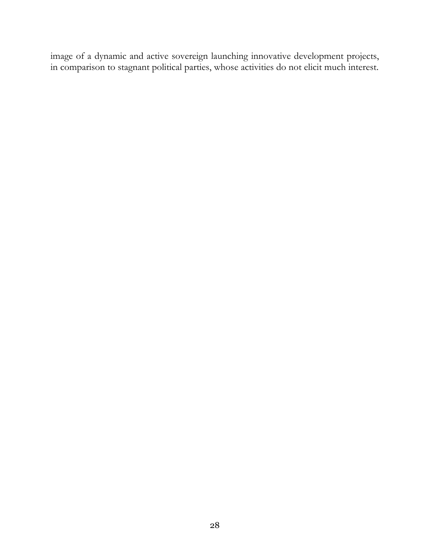image of a dynamic and active sovereign launching innovative development projects, in comparison to stagnant political parties, whose activities do not elicit much interest.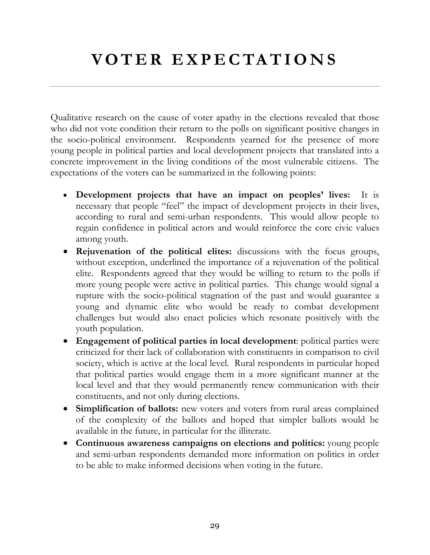Qualitative research on the cause of voter apathy in the elections revealed that those who did not vote condition their return to the polls on significant positive changes in the socio-political environment. Respondents yearned for the presence of more young people in political parties and local development projects that translated into a concrete improvement in the living conditions of the most vulnerable citizens. The expectations of the voters can be summarized in the following points:

- ! **Development projects that have an impact on peoples' lives:** It is necessary that people "feel" the impact of development projects in their lives, according to rural and semi-urban respondents. This would allow people to regain confidence in political actors and would reinforce the core civic values among youth.
- ! **Rejuvenation of the political elites:** discussions with the focus groups, without exception, underlined the importance of a rejuvenation of the political elite. Respondents agreed that they would be willing to return to the polls if more young people were active in political parties. This change would signal a rupture with the socio-political stagnation of the past and would guarantee a young and dynamic elite who would be ready to combat development challenges but would also enact policies which resonate positively with the youth population.
- ! **Engagement of political parties in local development**: political parties were criticized for their lack of collaboration with constituents in comparison to civil society, which is active at the local level. Rural respondents in particular hoped that political parties would engage them in a more significant manner at the local level and that they would permanently renew communication with their constituents, and not only during elections.
- ! **Simplification of ballots:** new voters and voters from rural areas complained of the complexity of the ballots and hoped that simpler ballots would be available in the future, in particular for the illiterate.
- ! **Continuous awareness campaigns on elections and politics:** young people and semi-urban respondents demanded more information on politics in order to be able to make informed decisions when voting in the future.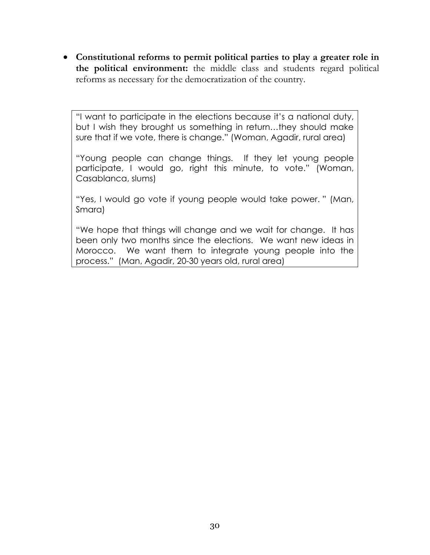! **Constitutional reforms to permit political parties to play a greater role in the political environment:** the middle class and students regard political reforms as necessary for the democratization of the country.

"I want to participate in the elections because it's a national duty, but I wish they brought us something in return…they should make sure that if we vote, there is change." (Woman, Agadir, rural area)

"Young people can change things. If they let young people participate, I would go, right this minute, to vote." (Woman, Casablanca, slums)

"Yes, I would go vote if young people would take power. " (Man, Smara)

"We hope that things will change and we wait for change. It has been only two months since the elections. We want new ideas in Morocco. We want them to integrate young people into the process." (Man, Agadir, 20-30 years old, rural area)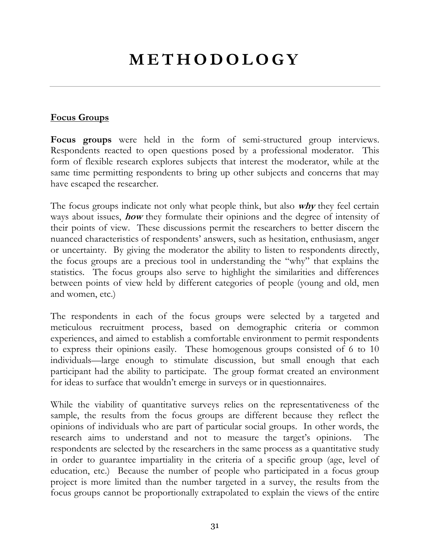### **M E T H O D O L O G Y**

#### <span id="page-30-0"></span>**Focus Groups**

**Focus groups** were held in the form of semi-structured group interviews. Respondents reacted to open questions posed by a professional moderator. This form of flexible research explores subjects that interest the moderator, while at the same time permitting respondents to bring up other subjects and concerns that may have escaped the researcher.

The focus groups indicate not only what people think, but also **why** they feel certain ways about issues, **how** they formulate their opinions and the degree of intensity of their points of view. These discussions permit the researchers to better discern the nuanced characteristics of respondents' answers, such as hesitation, enthusiasm, anger or uncertainty. By giving the moderator the ability to listen to respondents directly, the focus groups are a precious tool in understanding the "why" that explains the statistics. The focus groups also serve to highlight the similarities and differences between points of view held by different categories of people (young and old, men and women, etc.)

The respondents in each of the focus groups were selected by a targeted and meticulous recruitment process, based on demographic criteria or common experiences, and aimed to establish a comfortable environment to permit respondents to express their opinions easily. These homogenous groups consisted of 6 to 10 individuals—large enough to stimulate discussion, but small enough that each participant had the ability to participate. The group format created an environment for ideas to surface that wouldn't emerge in surveys or in questionnaires.

While the viability of quantitative surveys relies on the representativeness of the sample, the results from the focus groups are different because they reflect the opinions of individuals who are part of particular social groups. In other words, the research aims to understand and not to measure the target's opinions. The respondents are selected by the researchers in the same process as a quantitative study in order to guarantee impartiality in the criteria of a specific group (age, level of education, etc.) Because the number of people who participated in a focus group project is more limited than the number targeted in a survey, the results from the focus groups cannot be proportionally extrapolated to explain the views of the entire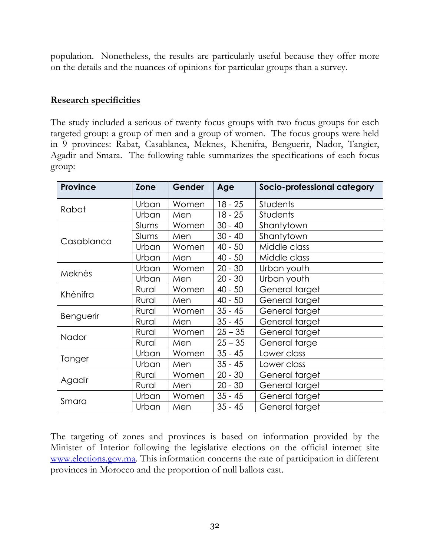population. Nonetheless, the results are particularly useful because they offer more on the details and the nuances of opinions for particular groups than a survey.

#### **Research specificities**

The study included a serious of twenty focus groups with two focus groups for each targeted group: a group of men and a group of women. The focus groups were held in 9 provinces: Rabat, Casablanca, Meknes, Khenifra, Benguerir, Nador, Tangier, Agadir and Smara. The following table summarizes the specifications of each focus group:

| <b>Province</b> | <b>Zone</b> | Gender | Age       | Socio-professional category |
|-----------------|-------------|--------|-----------|-----------------------------|
| Rabat           | Urban       | Women  | $18 - 25$ | Students                    |
|                 | Urban       | Men    | $18 - 25$ | <b>Students</b>             |
| Casablanca      | Slums       | Women  | $30 - 40$ | Shantytown                  |
|                 | Slums       | Men    | $30 - 40$ | Shantytown                  |
|                 | Urban       | Women  | $40 - 50$ | Middle class                |
|                 | Urban       | Men    | $40 - 50$ | Middle class                |
| Meknès          | Urban       | Women  | $20 - 30$ | Urban youth                 |
|                 | Urban       | Men    | $20 - 30$ | Urban youth                 |
| Khénifra        | Rural       | Women  | $40 - 50$ | General target              |
|                 | Rural       | Men    | $40 - 50$ | General target              |
| Benguerir       | Rural       | Women  | $35 - 45$ | General target              |
|                 | Rural       | Men    | $35 - 45$ | General target              |
| Nador           | Rural       | Women  | $25 - 35$ | General target              |
|                 | Rural       | Men    | $25 - 35$ | General targe               |
| Tanger          | Urban       | Women  | $35 - 45$ | Lower class                 |
|                 | Urban       | Men    | $35 - 45$ | Lower class                 |
| Agadir          | Rural       | Women  | $20 - 30$ | General target              |
|                 | Rural       | Men    | $20 - 30$ | General target              |
| Smara           | Urban       | Women  | $35 - 45$ | General target              |
|                 | Urban       | Men    | $35 - 45$ | General target              |

The targeting of zones and provinces is based on information provided by the Minister of Interior following the legislative elections on the official internet site [www.elections.gov.ma](http://www.elections.gov.ma/). This information concerns the rate of participation in different provinces in Morocco and the proportion of null ballots cast.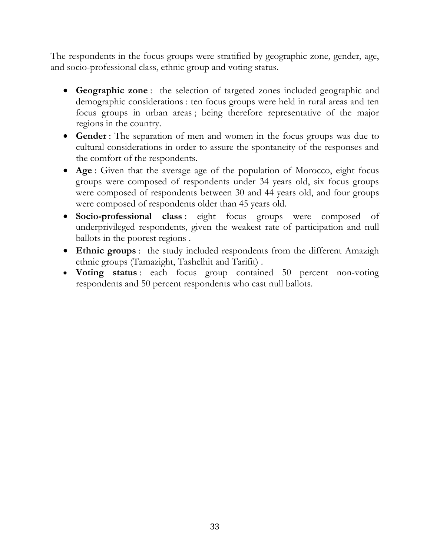The respondents in the focus groups were stratified by geographic zone, gender, age, and socio-professional class, ethnic group and voting status.

- ! **Geographic zone** :the selection of targeted zones included geographic and demographic considerations : ten focus groups were held in rural areas and ten focus groups in urban areas ; being therefore representative of the major regions in the country.
- ! **Gender** : The separation of men and women in the focus groups was due to cultural considerations in order to assure the spontaneity of the responses and the comfort of the respondents.
- ! **Age** : Given that the average age of the population of Morocco, eight focus groups were composed of respondents under 34 years old, six focus groups were composed of respondents between 30 and 44 years old, and four groups were composed of respondents older than 45 years old.
- ! **Socio-professional class** : eight focus groups were composed of underprivileged respondents, given the weakest rate of participation and null ballots in the poorest regions .
- ! **Ethnic groups** : the study included respondents from the different Amazigh ethnic groups (Tamazight, Tashelhit and Tarifit) .
- ! **Voting status** : each focus group contained 50 percent non-voting respondents and 50 percent respondents who cast null ballots.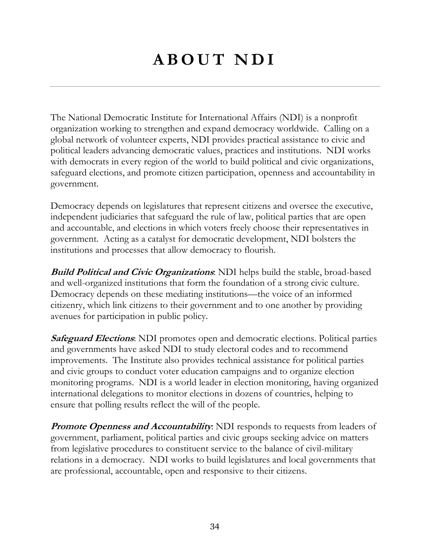<span id="page-33-0"></span>The National Democratic Institute for International Affairs (NDI) is a nonprofit organization working to strengthen and expand democracy worldwide. Calling on a global network of volunteer experts, NDI provides practical assistance to civic and political leaders advancing democratic values, practices and institutions. NDI works with democrats in every region of the world to build political and civic organizations, safeguard elections, and promote citizen participation, openness and accountability in government.

Democracy depends on legislatures that represent citizens and oversee the executive, independent judiciaries that safeguard the rule of law, political parties that are open and accountable, and elections in which voters freely choose their representatives in government. Acting as a catalyst for democratic development, NDI bolsters the institutions and processes that allow democracy to flourish.

**Build Political and Civic Organizations**: NDI helps build the stable, broad-based and well-organized institutions that form the foundation of a strong civic culture. Democracy depends on these mediating institutions—the voice of an informed citizenry, which link citizens to their government and to one another by providing avenues for participation in public policy.

**Safeguard Elections**: NDI promotes open and democratic elections. Political parties and governments have asked NDI to study electoral codes and to recommend improvements. The Institute also provides technical assistance for political parties and civic groups to conduct voter education campaigns and to organize election monitoring programs. NDI is a world leader in election monitoring, having organized international delegations to monitor elections in dozens of countries, helping to ensure that polling results reflect the will of the people.

**Promote Openness and Accountability**. NDI responds to requests from leaders of government, parliament, political parties and civic groups seeking advice on matters from legislative procedures to constituent service to the balance of civil-military relations in a democracy. NDI works to build legislatures and local governments that are professional, accountable, open and responsive to their citizens.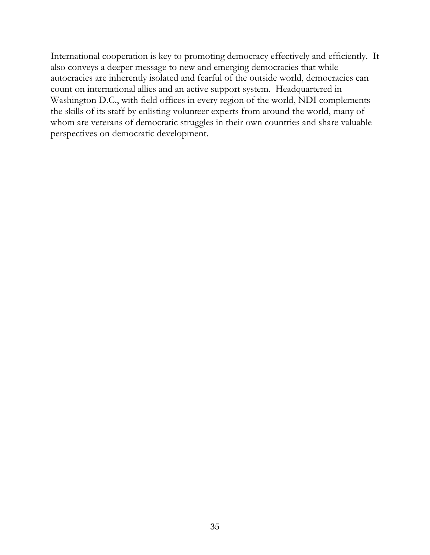International cooperation is key to promoting democracy effectively and efficiently. It also conveys a deeper message to new and emerging democracies that while autocracies are inherently isolated and fearful of the outside world, democracies can count on international allies and an active support system. Headquartered in Washington D.C., with field offices in every region of the world, NDI complements the skills of its staff by enlisting volunteer experts from around the world, many of whom are veterans of democratic struggles in their own countries and share valuable perspectives on democratic development.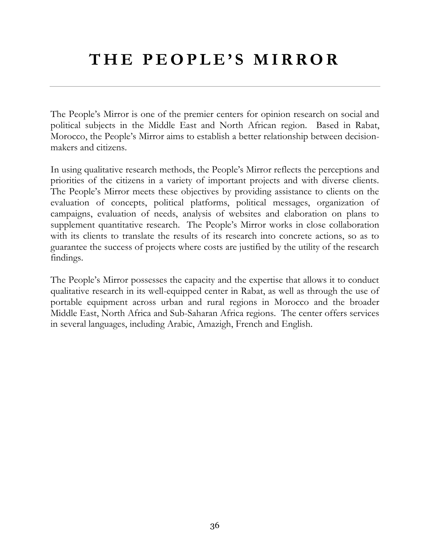<span id="page-35-0"></span>The People's Mirror is one of the premier centers for opinion research on social and political subjects in the Middle East and North African region. Based in Rabat, Morocco, the People's Mirror aims to establish a better relationship between decisionmakers and citizens.

In using qualitative research methods, the People's Mirror reflects the perceptions and priorities of the citizens in a variety of important projects and with diverse clients. The People's Mirror meets these objectives by providing assistance to clients on the evaluation of concepts, political platforms, political messages, organization of campaigns, evaluation of needs, analysis of websites and elaboration on plans to supplement quantitative research. The People's Mirror works in close collaboration with its clients to translate the results of its research into concrete actions, so as to guarantee the success of projects where costs are justified by the utility of the research findings.

The People's Mirror possesses the capacity and the expertise that allows it to conduct qualitative research in its well-equipped center in Rabat, as well as through the use of portable equipment across urban and rural regions in Morocco and the broader Middle East, North Africa and Sub-Saharan Africa regions. The center offers services in several languages, including Arabic, Amazigh, French and English.